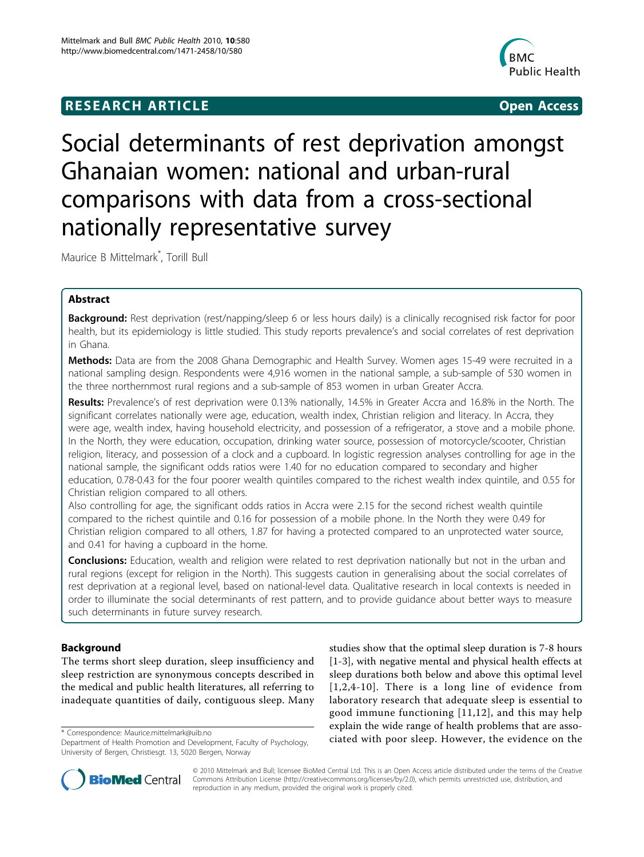# **RESEARCH ARTICLE Example 2018 12:00 Department of the Contract Open Access**



# Social determinants of rest deprivation amongst Ghanaian women: national and urban-rural comparisons with data from a cross-sectional nationally representative survey

Maurice B Mittelmark\* , Torill Bull

# Abstract

**Background:** Rest deprivation (rest/napping/sleep 6 or less hours daily) is a clinically recognised risk factor for poor health, but its epidemiology is little studied. This study reports prevalence's and social correlates of rest deprivation in Ghana.

Methods: Data are from the 2008 Ghana Demographic and Health Survey. Women ages 15-49 were recruited in a national sampling design. Respondents were 4,916 women in the national sample, a sub-sample of 530 women in the three northernmost rural regions and a sub-sample of 853 women in urban Greater Accra.

Results: Prevalence's of rest deprivation were 0.13% nationally, 14.5% in Greater Accra and 16.8% in the North. The significant correlates nationally were age, education, wealth index, Christian religion and literacy. In Accra, they were age, wealth index, having household electricity, and possession of a refrigerator, a stove and a mobile phone. In the North, they were education, occupation, drinking water source, possession of motorcycle/scooter, Christian religion, literacy, and possession of a clock and a cupboard. In logistic regression analyses controlling for age in the national sample, the significant odds ratios were 1.40 for no education compared to secondary and higher education, 0.78-0.43 for the four poorer wealth quintiles compared to the richest wealth index quintile, and 0.55 for Christian religion compared to all others.

Also controlling for age, the significant odds ratios in Accra were 2.15 for the second richest wealth quintile compared to the richest quintile and 0.16 for possession of a mobile phone. In the North they were 0.49 for Christian religion compared to all others, 1.87 for having a protected compared to an unprotected water source, and 0.41 for having a cupboard in the home.

**Conclusions:** Education, wealth and religion were related to rest deprivation nationally but not in the urban and rural regions (except for religion in the North). This suggests caution in generalising about the social correlates of rest deprivation at a regional level, based on national-level data. Qualitative research in local contexts is needed in order to illuminate the social determinants of rest pattern, and to provide guidance about better ways to measure such determinants in future survey research.

# Background

The terms short sleep duration, sleep insufficiency and sleep restriction are synonymous concepts described in the medical and public health literatures, all referring to inadequate quantities of daily, contiguous sleep. Many

studies show that the optimal sleep duration is 7-8 hours [[1-](#page-8-0)[3\]](#page-9-0), with negative mental and physical health effects at sleep durations both below and above this optimal level [[1,2,](#page-8-0)[4-10\]](#page-9-0). There is a long line of evidence from laboratory research that adequate sleep is essential to good immune functioning [[11](#page-9-0),[12\]](#page-9-0), and this may help explain the wide range of health problems that are asso-\* Correspondence: [Maurice.mittelmark@uib.no](mailto:Maurice.mittelmark@uib.no)<br>Chenartment of Health Promotion and Development Eaculty of Psychology **ciated with poor sleep. However, the evidence on the** 



© 2010 Mittelmark and Bull; licensee BioMed Central Ltd. This is an Open Access article distributed under the terms of the Creative Commons Attribution License [\(http://creativecommons.org/licenses/by/2.0](http://creativecommons.org/licenses/by/2.0)), which permits unrestricted use, distribution, and reproduction in any medium, provided the original work is properly cited.

Department of Health Promotion and Development, Faculty of Psychology, University of Bergen, Christiesgt. 13, 5020 Bergen, Norway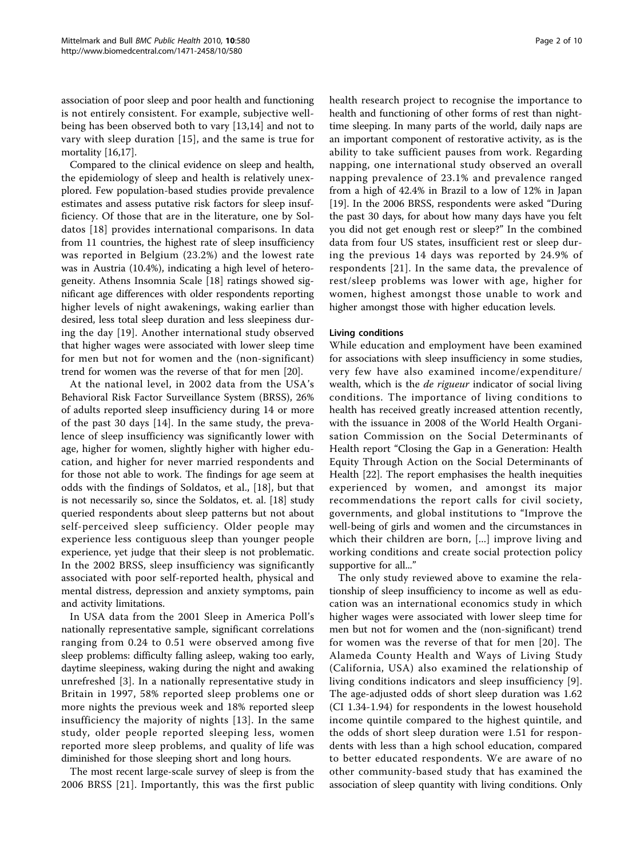association of poor sleep and poor health and functioning is not entirely consistent. For example, subjective wellbeing has been observed both to vary [[13,14\]](#page-9-0) and not to vary with sleep duration [[15](#page-9-0)], and the same is true for mortality [[16](#page-9-0),[17](#page-9-0)].

Compared to the clinical evidence on sleep and health, the epidemiology of sleep and health is relatively unexplored. Few population-based studies provide prevalence estimates and assess putative risk factors for sleep insufficiency. Of those that are in the literature, one by Soldatos [[18](#page-9-0)] provides international comparisons. In data from 11 countries, the highest rate of sleep insufficiency was reported in Belgium (23.2%) and the lowest rate was in Austria (10.4%), indicating a high level of heterogeneity. Athens Insomnia Scale [[18\]](#page-9-0) ratings showed significant age differences with older respondents reporting higher levels of night awakenings, waking earlier than desired, less total sleep duration and less sleepiness during the day [\[19\]](#page-9-0). Another international study observed that higher wages were associated with lower sleep time for men but not for women and the (non-significant) trend for women was the reverse of that for men [\[20](#page-9-0)].

At the national level, in 2002 data from the USA's Behavioral Risk Factor Surveillance System (BRSS), 26% of adults reported sleep insufficiency during 14 or more of the past 30 days [[14](#page-9-0)]. In the same study, the prevalence of sleep insufficiency was significantly lower with age, higher for women, slightly higher with higher education, and higher for never married respondents and for those not able to work. The findings for age seem at odds with the findings of Soldatos, et al., [[18\]](#page-9-0), but that is not necessarily so, since the Soldatos, et. al. [[18](#page-9-0)] study queried respondents about sleep patterns but not about self-perceived sleep sufficiency. Older people may experience less contiguous sleep than younger people experience, yet judge that their sleep is not problematic. In the 2002 BRSS, sleep insufficiency was significantly associated with poor self-reported health, physical and mental distress, depression and anxiety symptoms, pain and activity limitations.

In USA data from the 2001 Sleep in America Poll's nationally representative sample, significant correlations ranging from 0.24 to 0.51 were observed among five sleep problems: difficulty falling asleep, waking too early, daytime sleepiness, waking during the night and awaking unrefreshed [[3\]](#page-9-0). In a nationally representative study in Britain in 1997, 58% reported sleep problems one or more nights the previous week and 18% reported sleep insufficiency the majority of nights [[13](#page-9-0)]. In the same study, older people reported sleeping less, women reported more sleep problems, and quality of life was diminished for those sleeping short and long hours.

The most recent large-scale survey of sleep is from the 2006 BRSS [[21\]](#page-9-0). Importantly, this was the first public health research project to recognise the importance to health and functioning of other forms of rest than nighttime sleeping. In many parts of the world, daily naps are an important component of restorative activity, as is the ability to take sufficient pauses from work. Regarding napping, one international study observed an overall napping prevalence of 23.1% and prevalence ranged from a high of 42.4% in Brazil to a low of 12% in Japan [[19\]](#page-9-0). In the 2006 BRSS, respondents were asked "During the past 30 days, for about how many days have you felt you did not get enough rest or sleep?" In the combined data from four US states, insufficient rest or sleep during the previous 14 days was reported by 24.9% of respondents [[21\]](#page-9-0). In the same data, the prevalence of rest/sleep problems was lower with age, higher for women, highest amongst those unable to work and higher amongst those with higher education levels.

#### Living conditions

While education and employment have been examined for associations with sleep insufficiency in some studies, very few have also examined income/expenditure/ wealth, which is the *de rigueur* indicator of social living conditions. The importance of living conditions to health has received greatly increased attention recently, with the issuance in 2008 of the World Health Organisation Commission on the Social Determinants of Health report "Closing the Gap in a Generation: Health Equity Through Action on the Social Determinants of Health [[22](#page-9-0)]. The report emphasises the health inequities experienced by women, and amongst its major recommendations the report calls for civil society, governments, and global institutions to "Improve the well-being of girls and women and the circumstances in which their children are born, [...] improve living and working conditions and create social protection policy supportive for all..."

The only study reviewed above to examine the relationship of sleep insufficiency to income as well as education was an international economics study in which higher wages were associated with lower sleep time for men but not for women and the (non-significant) trend for women was the reverse of that for men [[20](#page-9-0)]. The Alameda County Health and Ways of Living Study (California, USA) also examined the relationship of living conditions indicators and sleep insufficiency [[9](#page-9-0)]. The age-adjusted odds of short sleep duration was 1.62 (CI 1.34-1.94) for respondents in the lowest household income quintile compared to the highest quintile, and the odds of short sleep duration were 1.51 for respondents with less than a high school education, compared to better educated respondents. We are aware of no other community-based study that has examined the association of sleep quantity with living conditions. Only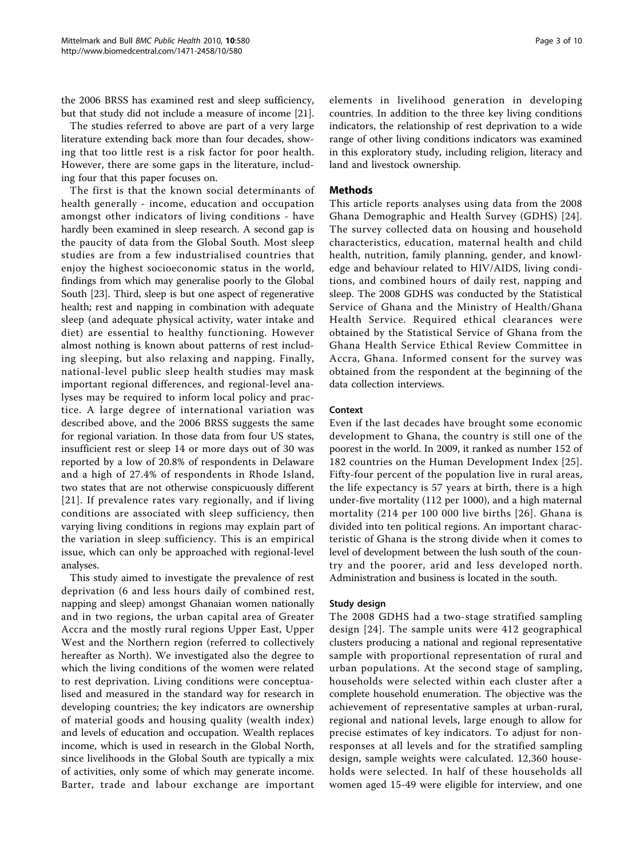the 2006 BRSS has examined rest and sleep sufficiency, but that study did not include a measure of income [[21](#page-9-0)].

The studies referred to above are part of a very large literature extending back more than four decades, showing that too little rest is a risk factor for poor health. However, there are some gaps in the literature, including four that this paper focuses on.

The first is that the known social determinants of health generally - income, education and occupation amongst other indicators of living conditions - have hardly been examined in sleep research. A second gap is the paucity of data from the Global South. Most sleep studies are from a few industrialised countries that enjoy the highest socioeconomic status in the world, findings from which may generalise poorly to the Global South [[23\]](#page-9-0). Third, sleep is but one aspect of regenerative health; rest and napping in combination with adequate sleep (and adequate physical activity, water intake and diet) are essential to healthy functioning. However almost nothing is known about patterns of rest including sleeping, but also relaxing and napping. Finally, national-level public sleep health studies may mask important regional differences, and regional-level analyses may be required to inform local policy and practice. A large degree of international variation was described above, and the 2006 BRSS suggests the same for regional variation. In those data from four US states, insufficient rest or sleep 14 or more days out of 30 was reported by a low of 20.8% of respondents in Delaware and a high of 27.4% of respondents in Rhode Island, two states that are not otherwise conspicuously different [[21\]](#page-9-0). If prevalence rates vary regionally, and if living conditions are associated with sleep sufficiency, then varying living conditions in regions may explain part of the variation in sleep sufficiency. This is an empirical issue, which can only be approached with regional-level analyses.

This study aimed to investigate the prevalence of rest deprivation (6 and less hours daily of combined rest, napping and sleep) amongst Ghanaian women nationally and in two regions, the urban capital area of Greater Accra and the mostly rural regions Upper East, Upper West and the Northern region (referred to collectively hereafter as North). We investigated also the degree to which the living conditions of the women were related to rest deprivation. Living conditions were conceptualised and measured in the standard way for research in developing countries; the key indicators are ownership of material goods and housing quality (wealth index) and levels of education and occupation. Wealth replaces income, which is used in research in the Global North, since livelihoods in the Global South are typically a mix of activities, only some of which may generate income. Barter, trade and labour exchange are important

elements in livelihood generation in developing countries. In addition to the three key living conditions indicators, the relationship of rest deprivation to a wide range of other living conditions indicators was examined in this exploratory study, including religion, literacy and land and livestock ownership.

# Methods

This article reports analyses using data from the 2008 Ghana Demographic and Health Survey (GDHS) [[24\]](#page-9-0). The survey collected data on housing and household characteristics, education, maternal health and child health, nutrition, family planning, gender, and knowledge and behaviour related to HIV/AIDS, living conditions, and combined hours of daily rest, napping and sleep. The 2008 GDHS was conducted by the Statistical Service of Ghana and the Ministry of Health/Ghana Health Service. Required ethical clearances were obtained by the Statistical Service of Ghana from the Ghana Health Service Ethical Review Committee in Accra, Ghana. Informed consent for the survey was obtained from the respondent at the beginning of the data collection interviews.

#### Context

Even if the last decades have brought some economic development to Ghana, the country is still one of the poorest in the world. In 2009, it ranked as number 152 of 182 countries on the Human Development Index [[25](#page-9-0)]. Fifty-four percent of the population live in rural areas, the life expectancy is 57 years at birth, there is a high under-five mortality (112 per 1000), and a high maternal mortality (214 per 100 000 live births [[26](#page-9-0)]. Ghana is divided into ten political regions. An important characteristic of Ghana is the strong divide when it comes to level of development between the lush south of the country and the poorer, arid and less developed north. Administration and business is located in the south.

#### Study design

The 2008 GDHS had a two-stage stratified sampling design [[24](#page-9-0)]. The sample units were 412 geographical clusters producing a national and regional representative sample with proportional representation of rural and urban populations. At the second stage of sampling, households were selected within each cluster after a complete household enumeration. The objective was the achievement of representative samples at urban-rural, regional and national levels, large enough to allow for precise estimates of key indicators. To adjust for nonresponses at all levels and for the stratified sampling design, sample weights were calculated. 12,360 households were selected. In half of these households all women aged 15-49 were eligible for interview, and one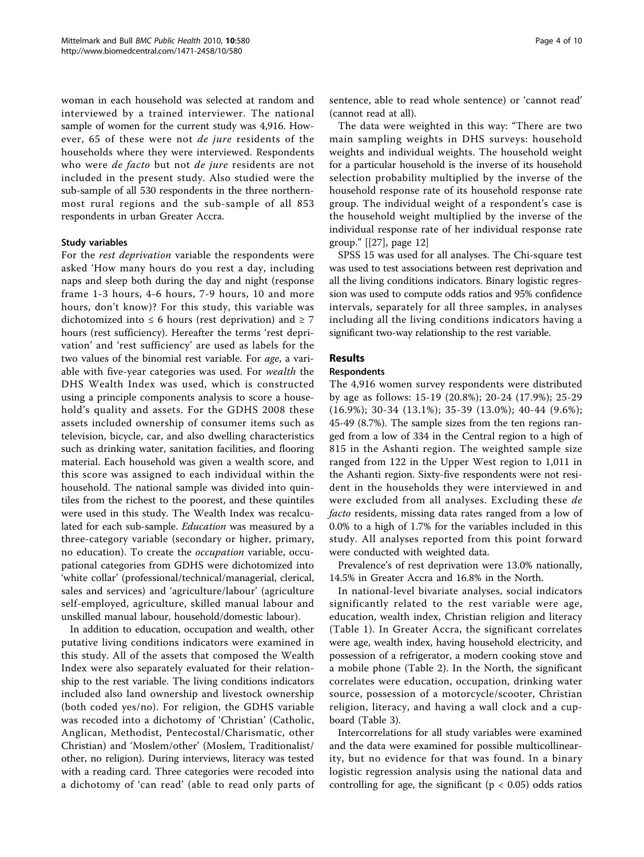woman in each household was selected at random and interviewed by a trained interviewer. The national sample of women for the current study was 4,916. However, 65 of these were not de jure residents of the households where they were interviewed. Respondents who were *de facto* but not *de jure* residents are not included in the present study. Also studied were the sub-sample of all 530 respondents in the three northernmost rural regions and the sub-sample of all 853 respondents in urban Greater Accra.

# Study variables

For the *rest deprivation* variable the respondents were asked 'How many hours do you rest a day, including naps and sleep both during the day and night (response frame 1-3 hours, 4-6 hours, 7-9 hours, 10 and more hours, don't know)? For this study, this variable was dichotomized into  $\leq 6$  hours (rest deprivation) and  $\geq 7$ hours (rest sufficiency). Hereafter the terms 'rest deprivation' and 'rest sufficiency' are used as labels for the two values of the binomial rest variable. For age, a variable with five-year categories was used. For wealth the DHS Wealth Index was used, which is constructed using a principle components analysis to score a household's quality and assets. For the GDHS 2008 these assets included ownership of consumer items such as television, bicycle, car, and also dwelling characteristics such as drinking water, sanitation facilities, and flooring material. Each household was given a wealth score, and this score was assigned to each individual within the household. The national sample was divided into quintiles from the richest to the poorest, and these quintiles were used in this study. The Wealth Index was recalculated for each sub-sample. Education was measured by a three-category variable (secondary or higher, primary, no education). To create the occupation variable, occupational categories from GDHS were dichotomized into 'white collar' (professional/technical/managerial, clerical, sales and services) and 'agriculture/labour' (agriculture self-employed, agriculture, skilled manual labour and unskilled manual labour, household/domestic labour).

In addition to education, occupation and wealth, other putative living conditions indicators were examined in this study. All of the assets that composed the Wealth Index were also separately evaluated for their relationship to the rest variable. The living conditions indicators included also land ownership and livestock ownership (both coded yes/no). For religion, the GDHS variable was recoded into a dichotomy of 'Christian' (Catholic, Anglican, Methodist, Pentecostal/Charismatic, other Christian) and 'Moslem/other' (Moslem, Traditionalist/ other, no religion). During interviews, literacy was tested with a reading card. Three categories were recoded into a dichotomy of 'can read' (able to read only parts of sentence, able to read whole sentence) or 'cannot read' (cannot read at all).

The data were weighted in this way: "There are two main sampling weights in DHS surveys: household weights and individual weights. The household weight for a particular household is the inverse of its household selection probability multiplied by the inverse of the household response rate of its household response rate group. The individual weight of a respondent's case is the household weight multiplied by the inverse of the individual response rate of her individual response rate group." [[[27\]](#page-9-0), page 12]

SPSS 15 was used for all analyses. The Chi-square test was used to test associations between rest deprivation and all the living conditions indicators. Binary logistic regression was used to compute odds ratios and 95% confidence intervals, separately for all three samples, in analyses including all the living conditions indicators having a significant two-way relationship to the rest variable.

# Results

#### Respondents

The 4,916 women survey respondents were distributed by age as follows: 15-19 (20.8%); 20-24 (17.9%); 25-29 (16.9%); 30-34 (13.1%); 35-39 (13.0%); 40-44 (9.6%); 45-49 (8.7%). The sample sizes from the ten regions ranged from a low of 334 in the Central region to a high of 815 in the Ashanti region. The weighted sample size ranged from 122 in the Upper West region to 1,011 in the Ashanti region. Sixty-five respondents were not resident in the households they were interviewed in and were excluded from all analyses. Excluding these de facto residents, missing data rates ranged from a low of 0.0% to a high of 1.7% for the variables included in this study. All analyses reported from this point forward were conducted with weighted data.

Prevalence's of rest deprivation were 13.0% nationally, 14.5% in Greater Accra and 16.8% in the North.

In national-level bivariate analyses, social indicators significantly related to the rest variable were age, education, wealth index, Christian religion and literacy (Table [1](#page-4-0)). In Greater Accra, the significant correlates were age, wealth index, having household electricity, and possession of a refrigerator, a modern cooking stove and a mobile phone (Table [2\)](#page-4-0). In the North, the significant correlates were education, occupation, drinking water source, possession of a motorcycle/scooter, Christian religion, literacy, and having a wall clock and a cupboard (Table [3\)](#page-5-0).

Intercorrelations for all study variables were examined and the data were examined for possible multicollinearity, but no evidence for that was found. In a binary logistic regression analysis using the national data and controlling for age, the significant ( $p < 0.05$ ) odds ratios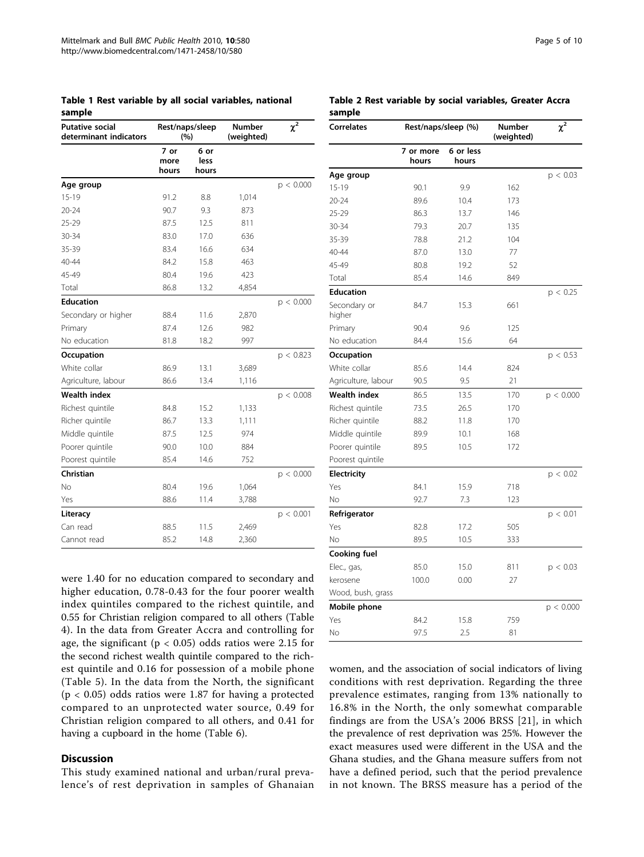<span id="page-4-0"></span>

|        |  |  | Table 1 Rest variable by all social variables, national |  |
|--------|--|--|---------------------------------------------------------|--|
| sample |  |  |                                                         |  |

| <b>Putative social</b><br>determinant indicators | Rest/naps/sleep<br>(%) |                       | <b>Number</b><br>(weighted) | $\chi^2$  |  |
|--------------------------------------------------|------------------------|-----------------------|-----------------------------|-----------|--|
|                                                  | 7 or<br>more<br>hours  | 6 or<br>less<br>hours |                             |           |  |
| Age group                                        |                        |                       |                             | p < 0.000 |  |
| $15 - 19$                                        | 91.2                   | 8.8                   | 1,014                       |           |  |
| $20 - 24$                                        | 90.7                   | 9.3                   | 873                         |           |  |
| 25-29                                            | 87.5                   | 12.5                  | 811                         |           |  |
| 30-34                                            | 83.0                   | 17.0                  | 636                         |           |  |
| 35-39                                            | 83.4                   | 16.6                  | 634                         |           |  |
| 40-44                                            | 84.2                   | 15.8                  | 463                         |           |  |
| 45-49                                            | 80.4                   | 19.6                  | 423                         |           |  |
| Total                                            | 86.8                   | 13.2                  | 4,854                       |           |  |
| <b>Education</b>                                 |                        |                       |                             | p < 0.000 |  |
| Secondary or higher                              | 88.4                   | 11.6                  | 2,870                       |           |  |
| Primary                                          | 87.4                   | 12.6                  | 982                         |           |  |
| No education                                     | 81.8                   | 18.2                  | 997                         |           |  |
| Occupation                                       |                        |                       |                             | p < 0.823 |  |
| White collar                                     | 86.9                   | 13.1                  | 3,689                       |           |  |
| Agriculture, labour                              | 86.6                   | 13.4                  | 1,116                       |           |  |
| <b>Wealth index</b>                              |                        |                       |                             | p < 0.008 |  |
| Richest quintile                                 | 84.8                   | 15.2                  | 1,133                       |           |  |
| Richer quintile                                  | 86.7                   | 13.3                  | 1,111                       |           |  |
| Middle quintile                                  | 87.5                   | 12.5                  | 974                         |           |  |
| Poorer quintile                                  | 90.0                   | 10.0                  | 884                         |           |  |
| Poorest quintile                                 | 85.4                   | 14.6                  | 752                         |           |  |
| Christian                                        |                        |                       |                             | p < 0.000 |  |
| No                                               | 80.4                   | 19.6                  | 1,064                       |           |  |
| Yes                                              | 88.6                   | 11.4                  | 3,788                       |           |  |
| Literacy                                         |                        |                       |                             | p < 0.001 |  |
| Can read                                         | 88.5                   | 11.5                  | 2,469                       |           |  |
| Cannot read                                      | 85.2                   | 14.8                  | 2,360                       |           |  |

were 1.40 for no education compared to secondary and higher education, 0.78-0.43 for the four poorer wealth index quintiles compared to the richest quintile, and 0.55 for Christian religion compared to all others (Table [4\)](#page-5-0). In the data from Greater Accra and controlling for age, the significant ( $p < 0.05$ ) odds ratios were 2.15 for the second richest wealth quintile compared to the richest quintile and 0.16 for possession of a mobile phone (Table [5](#page-6-0)). In the data from the North, the significant (p < 0.05) odds ratios were 1.87 for having a protected compared to an unprotected water source, 0.49 for Christian religion compared to all others, and 0.41 for having a cupboard in the home (Table [6](#page-6-0)).

# Discussion

This study examined national and urban/rural prevalence's of rest deprivation in samples of Ghanaian

#### Table 2 Rest variable by social variables, Greater Accra sample

| <b>Correlates</b>      | Rest/naps/sleep (%) |                    | Number<br>(weighted) | $\chi^2$  |
|------------------------|---------------------|--------------------|----------------------|-----------|
|                        | 7 or more<br>hours  | 6 or less<br>hours |                      |           |
| Age group              |                     |                    |                      | p < 0.03  |
| $15 - 19$              | 90.1                | 9.9                | 162                  |           |
| $20 - 24$              | 89.6                | 10.4               | 173                  |           |
| 25-29                  | 86.3                | 13.7               | 146                  |           |
| 30-34                  | 79.3                | 20.7               | 135                  |           |
| 35-39                  | 78.8                | 21.2               | 104                  |           |
| 40-44                  | 87.0                | 13.0               | 77                   |           |
| 45-49                  | 80.8                | 19.2               | 52                   |           |
| Total                  | 85.4                | 14.6               | 849                  |           |
| <b>Education</b>       |                     |                    |                      | p < 0.25  |
| Secondary or<br>higher | 84.7                | 15.3               | 661                  |           |
| Primary                | 90.4                | 9.6                | 125                  |           |
| No education           | 84.4                | 15.6               | 64                   |           |
| Occupation             |                     |                    |                      | p < 0.53  |
| White collar           | 85.6                | 14.4               | 824                  |           |
| Agriculture, labour    | 90.5                | 9.5                | 21                   |           |
| <b>Wealth index</b>    | 86.5                | 13.5               | 170                  | p < 0.000 |
| Richest quintile       | 73.5                | 26.5               | 170                  |           |
| Richer quintile        | 88.2                | 11.8               | 170                  |           |
| Middle quintile        | 89.9                | 10.1               | 168                  |           |
| Poorer quintile        | 89.5                | 10.5               | 172                  |           |
| Poorest quintile       |                     |                    |                      |           |
| Electricity            |                     |                    |                      | p < 0.02  |
| Yes                    | 84.1                | 15.9               | 718                  |           |
| No                     | 92.7                | 7.3                | 123                  |           |
| Refrigerator           |                     |                    |                      | p < 0.01  |
| Yes                    | 82.8                | 17.2               | 505                  |           |
| <b>No</b>              | 89.5                | 10.5               | 333                  |           |
| Cooking fuel           |                     |                    |                      |           |
| Elec., gas,            | 85.0                | 15.0               | 811                  | p < 0.03  |
| kerosene               | 100.0               | 0.00               | 27                   |           |
| Wood, bush, grass      |                     |                    |                      |           |
| Mobile phone           |                     |                    |                      | p < 0.000 |
| Yes                    | 84.2                | 15.8               | 759                  |           |
| <b>No</b>              | 97.5                | 2.5                | 81                   |           |

women, and the association of social indicators of living conditions with rest deprivation. Regarding the three prevalence estimates, ranging from 13% nationally to 16.8% in the North, the only somewhat comparable findings are from the USA's 2006 BRSS [\[21](#page-9-0)], in which the prevalence of rest deprivation was 25%. However the exact measures used were different in the USA and the Ghana studies, and the Ghana measure suffers from not have a defined period, such that the period prevalence in not known. The BRSS measure has a period of the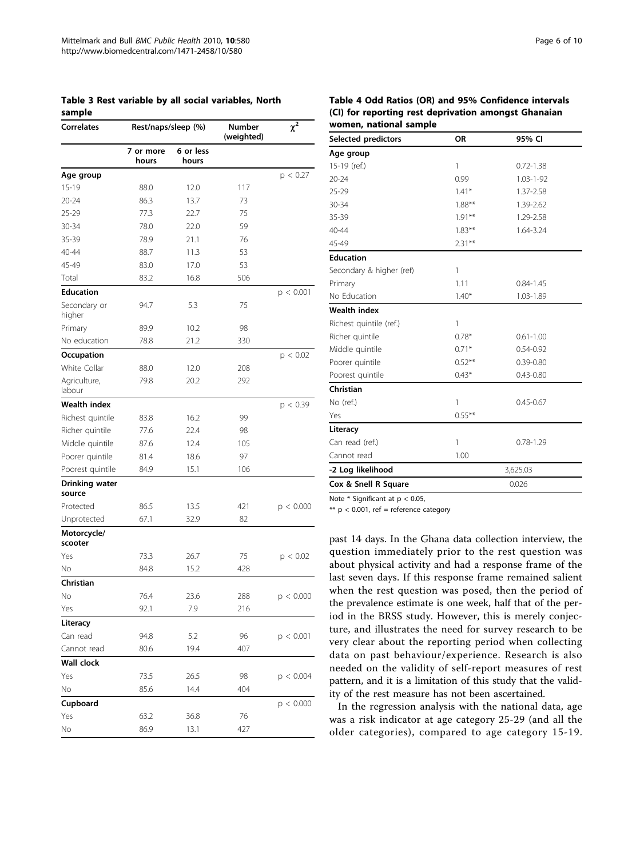<span id="page-5-0"></span>Table 3 Rest variable by all social variables, North sample

| <b>Correlates</b>        | Rest/naps/sleep (%) |                    | Number<br>(weighted) | $\chi^2$  |
|--------------------------|---------------------|--------------------|----------------------|-----------|
|                          | 7 or more<br>hours  | 6 or less<br>hours |                      |           |
| Age group                |                     |                    |                      | p < 0.27  |
| $15 - 19$                | 88.0                | 12.0               | 117                  |           |
| $20 - 24$                | 86.3                | 13.7               | 73                   |           |
| $25 - 29$                | 77.3                | 22.7               | 75                   |           |
| 30-34                    | 78.0                | 22.0               | 59                   |           |
| 35-39                    | 78.9                | 21.1               | 76                   |           |
| 40-44                    | 88.7                | 11.3               | 53                   |           |
| 45-49                    | 83.0                | 17.0               | 53                   |           |
| Total                    | 83.2                | 16.8               | 506                  |           |
| <b>Education</b>         |                     |                    |                      | p < 0.001 |
| Secondary or<br>higher   | 94.7                | 5.3                | 75                   |           |
| Primary                  | 89.9                | 10.2               | 98                   |           |
| No education             | 78.8                | 21.2               | 330                  |           |
| Occupation               |                     |                    |                      | p < 0.02  |
| White Collar             | 88.0                | 12.0               | 208                  |           |
| Agriculture,<br>labour   | 79.8                | 20.2               | 292                  |           |
| <b>Wealth index</b>      |                     |                    |                      | p < 0.39  |
| Richest quintile         | 83.8                | 16.2               | 99                   |           |
| Richer quintile          | 77.6                | 22.4               | 98                   |           |
| Middle quintile          | 87.6                | 12.4               | 105                  |           |
| Poorer quintile          | 81.4                | 18.6               | 97                   |           |
| Poorest quintile         | 84.9                | 15.1               | 106                  |           |
| Drinking water<br>source |                     |                    |                      |           |
| Protected                | 86.5                | 13.5               | 421                  | p < 0.000 |
| Unprotected              | 67.1                | 32.9               | 82                   |           |
| Motorcycle/<br>scooter   |                     |                    |                      |           |
| Yes                      | 73.3                | 26.7               | 75                   | p < 0.02  |
| Νo                       | 84.8                | 15.2               | 428                  |           |
| Christian                |                     |                    |                      |           |
| No                       | 76.4                | 23.6               | 288                  | p < 0.000 |
| Yes                      | 92.1                | 7.9                | 216                  |           |
| Literacy                 |                     |                    |                      |           |
| Can read                 | 94.8                | 5.2                | 96                   | p < 0.001 |
| Cannot read              | 80.6                | 19.4               | 407                  |           |
| <b>Wall clock</b>        |                     |                    |                      |           |
| Yes                      | 73.5                | 26.5               | 98                   | p < 0.004 |
| No                       | 85.6                | 14.4               | 404                  |           |
| Cupboard                 |                     |                    |                      | p < 0.000 |
| Yes                      | 63.2                | 36.8               | 76                   |           |
| No                       | 86.9                | 13.1               | 427                  |           |

# Table 4 Odd Ratios (OR) and 95% Confidence intervals (CI) for reporting rest deprivation amongst Ghanaian women, national sample

| 1<br>0.99<br>$1.41*$<br>$1.88***$ | $0.72 - 1.38$<br>$1.03 - 1 - 92$<br>1.37-2.58 |
|-----------------------------------|-----------------------------------------------|
|                                   |                                               |
|                                   |                                               |
|                                   |                                               |
|                                   |                                               |
|                                   | 1.39-2.62                                     |
|                                   | 1.29-2.58                                     |
| $1.83***$<br>1.64-3.24            |                                               |
| $2.31***$                         |                                               |
|                                   |                                               |
| 1                                 |                                               |
| 1.11                              | $0.84 - 1.45$                                 |
| $1.40*$                           | 1.03-1.89                                     |
|                                   |                                               |
| 1                                 |                                               |
| $0.78*$                           | $0.61 - 1.00$                                 |
| $0.71*$                           | $0.54 - 0.92$                                 |
| $0.52***$                         | $0.39 - 0.80$                                 |
| $0.43*$                           | $0.43 - 0.80$                                 |
|                                   |                                               |
| 1                                 | $0.45 - 0.67$                                 |
| $0.55***$                         |                                               |
|                                   |                                               |
| 1                                 | $0.78 - 1.29$                                 |
| 1.00                              |                                               |
|                                   | 3,625.03                                      |
|                                   | 0.026                                         |
|                                   | $1.91**$                                      |

Note \* Significant at p < 0.05,

\*\*  $p < 0.001$ , ref = reference category

past 14 days. In the Ghana data collection interview, the question immediately prior to the rest question was about physical activity and had a response frame of the last seven days. If this response frame remained salient when the rest question was posed, then the period of the prevalence estimate is one week, half that of the period in the BRSS study. However, this is merely conjecture, and illustrates the need for survey research to be very clear about the reporting period when collecting data on past behaviour/experience. Research is also needed on the validity of self-report measures of rest pattern, and it is a limitation of this study that the validity of the rest measure has not been ascertained.

In the regression analysis with the national data, age was a risk indicator at age category 25-29 (and all the older categories), compared to age category 15-19.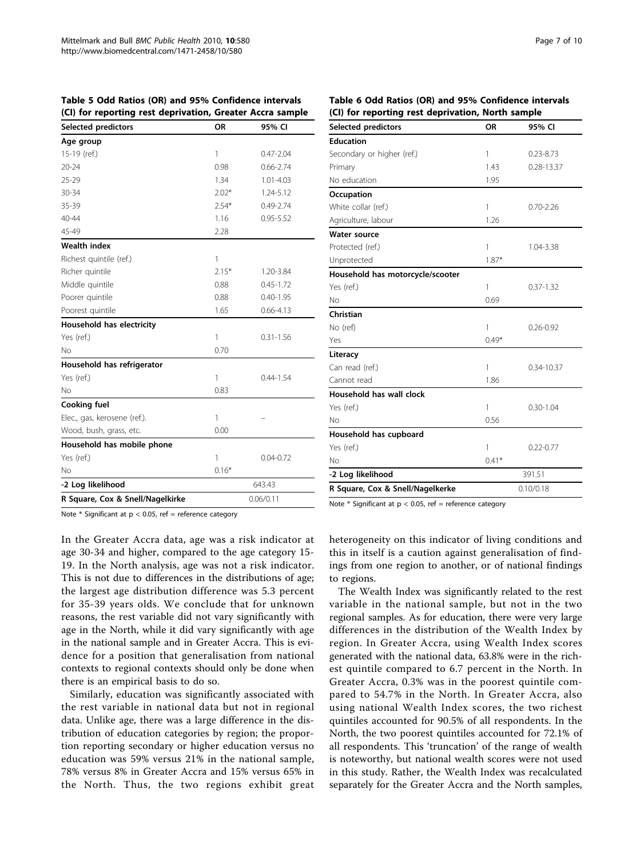| $\sim$ , ior reporting rest deprivation, $\sim$ | neater weera sample |
|-------------------------------------------------|---------------------|
| <b>OR</b>                                       | 95% CI              |
|                                                 |                     |
| 1                                               | $0.47 - 2.04$       |
| 0.98                                            | $0.66 - 2.74$       |
| 1.34                                            | $1.01 - 4.03$       |
| $2.02*$                                         | 1.24-5.12           |
| $2.54*$                                         | $0.49 - 2.74$       |
| 1.16                                            | $0.95 - 5.52$       |
| 2.28                                            |                     |
|                                                 |                     |
| 1                                               |                     |
| $2.15*$                                         | 1.20-3.84           |
| 0.88                                            | $0.45 - 1.72$       |
| 0.88                                            | $0.40 - 1.95$       |
| 1.65                                            | $0.66 - 4.13$       |
|                                                 |                     |
| 1                                               | $0.31 - 1.56$       |
| 0.70                                            |                     |
|                                                 |                     |
| 1                                               | $0.44 - 1.54$       |
| 0.83                                            |                     |
|                                                 |                     |
| $\mathbf{1}$                                    |                     |
| 0.00                                            |                     |
|                                                 |                     |
| 1                                               | $0.04 - 0.72$       |
| $0.16*$                                         |                     |
|                                                 | 643.43              |
|                                                 | 0.06/0.11           |
|                                                 |                     |

<span id="page-6-0"></span>Table 5 Odd Ratios (OR) and 95% Confidence intervals (CI) for reporting rest deprivation, Greater Accra sample

Note  $*$  Significant at  $p < 0.05$ , ref = reference category

In the Greater Accra data, age was a risk indicator at age 30-34 and higher, compared to the age category 15- 19. In the North analysis, age was not a risk indicator. This is not due to differences in the distributions of age; the largest age distribution difference was 5.3 percent for 35-39 years olds. We conclude that for unknown reasons, the rest variable did not vary significantly with age in the North, while it did vary significantly with age in the national sample and in Greater Accra. This is evidence for a position that generalisation from national contexts to regional contexts should only be done when there is an empirical basis to do so.

Similarly, education was significantly associated with the rest variable in national data but not in regional data. Unlike age, there was a large difference in the distribution of education categories by region; the proportion reporting secondary or higher education versus no education was 59% versus 21% in the national sample, 78% versus 8% in Greater Accra and 15% versus 65% in the North. Thus, the two regions exhibit great Table 6 Odd Ratios (OR) and 95% Confidence intervals (CI) for reporting rest deprivation, North sample

| <b>Selected predictors</b>       | OR      | 95% CI        |
|----------------------------------|---------|---------------|
| <b>Education</b>                 |         |               |
| Secondary or higher (ref.)       | 1       | $0.23 - 8.73$ |
| Primary                          | 1.43    | 0.28-13.37    |
| No education                     | 1.95    |               |
| Occupation                       |         |               |
| White collar (ref.)              | 1       | $0.70 - 2.26$ |
| Agriculture, labour              | 1.26    |               |
| <b>Water source</b>              |         |               |
| Protected (ref.)                 | 1       | 1.04-3.38     |
| Unprotected                      | $1.87*$ |               |
| Household has motorcycle/scooter |         |               |
| Yes (ref.)                       | 1       | $0.37 - 1.32$ |
| Nο                               | 0.69    |               |
| Christian                        |         |               |
| No (ref)                         | 1       | $0.26 - 0.92$ |
| Yes                              | $0.49*$ |               |
| Literacy                         |         |               |
| Can read (ref.)                  | 1       | 0.34-10.37    |
| Cannot read                      | 1.86    |               |
| Household has wall clock         |         |               |
| Yes (ref.)                       | 1       | $0.30 - 1.04$ |
| No                               | 0.56    |               |
| Household has cupboard           |         |               |
| Yes (ref.)                       | 1       | $0.22 - 0.77$ |
| No                               | $0.41*$ |               |
| -2 Log likelihood                |         | 391.51        |
| R Square, Cox & Snell/Nagelkerke |         | 0.10/0.18     |

Note  $*$  Significant at  $p < 0.05$ , ref = reference category

heterogeneity on this indicator of living conditions and this in itself is a caution against generalisation of findings from one region to another, or of national findings to regions.

The Wealth Index was significantly related to the rest variable in the national sample, but not in the two regional samples. As for education, there were very large differences in the distribution of the Wealth Index by region. In Greater Accra, using Wealth Index scores generated with the national data, 63.8% were in the richest quintile compared to 6.7 percent in the North. In Greater Accra, 0.3% was in the poorest quintile compared to 54.7% in the North. In Greater Accra, also using national Wealth Index scores, the two richest quintiles accounted for 90.5% of all respondents. In the North, the two poorest quintiles accounted for 72.1% of all respondents. This 'truncation' of the range of wealth is noteworthy, but national wealth scores were not used in this study. Rather, the Wealth Index was recalculated separately for the Greater Accra and the North samples,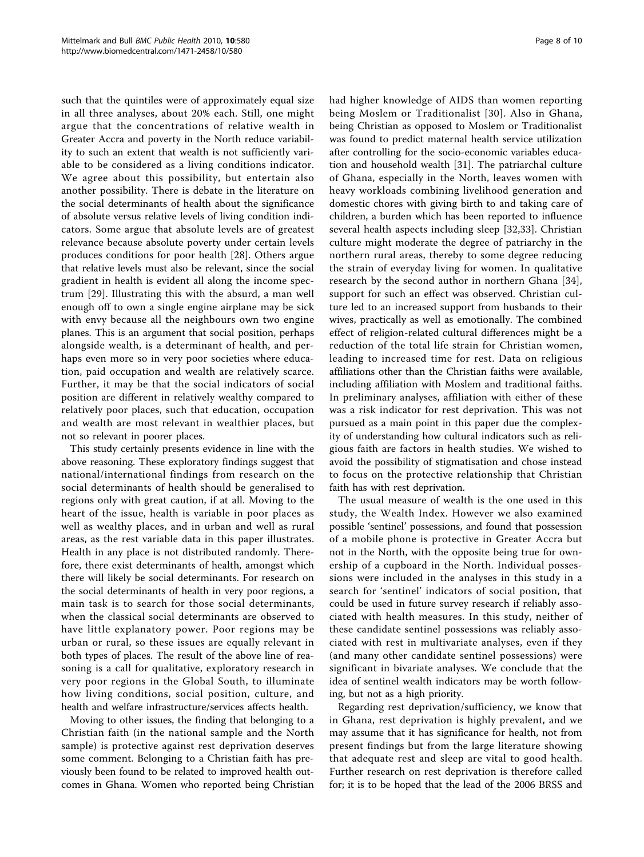such that the quintiles were of approximately equal size in all three analyses, about 20% each. Still, one might argue that the concentrations of relative wealth in Greater Accra and poverty in the North reduce variability to such an extent that wealth is not sufficiently variable to be considered as a living conditions indicator. We agree about this possibility, but entertain also another possibility. There is debate in the literature on the social determinants of health about the significance of absolute versus relative levels of living condition indicators. Some argue that absolute levels are of greatest relevance because absolute poverty under certain levels produces conditions for poor health [\[28](#page-9-0)]. Others argue that relative levels must also be relevant, since the social gradient in health is evident all along the income spectrum [\[29](#page-9-0)]. Illustrating this with the absurd, a man well enough off to own a single engine airplane may be sick with envy because all the neighbours own two engine planes. This is an argument that social position, perhaps alongside wealth, is a determinant of health, and perhaps even more so in very poor societies where education, paid occupation and wealth are relatively scarce. Further, it may be that the social indicators of social position are different in relatively wealthy compared to relatively poor places, such that education, occupation and wealth are most relevant in wealthier places, but not so relevant in poorer places.

This study certainly presents evidence in line with the above reasoning. These exploratory findings suggest that national/international findings from research on the social determinants of health should be generalised to regions only with great caution, if at all. Moving to the heart of the issue, health is variable in poor places as well as wealthy places, and in urban and well as rural areas, as the rest variable data in this paper illustrates. Health in any place is not distributed randomly. Therefore, there exist determinants of health, amongst which there will likely be social determinants. For research on the social determinants of health in very poor regions, a main task is to search for those social determinants, when the classical social determinants are observed to have little explanatory power. Poor regions may be urban or rural, so these issues are equally relevant in both types of places. The result of the above line of reasoning is a call for qualitative, exploratory research in very poor regions in the Global South, to illuminate how living conditions, social position, culture, and health and welfare infrastructure/services affects health.

Moving to other issues, the finding that belonging to a Christian faith (in the national sample and the North sample) is protective against rest deprivation deserves some comment. Belonging to a Christian faith has previously been found to be related to improved health outcomes in Ghana. Women who reported being Christian had higher knowledge of AIDS than women reporting being Moslem or Traditionalist [[30](#page-9-0)]. Also in Ghana, being Christian as opposed to Moslem or Traditionalist was found to predict maternal health service utilization after controlling for the socio-economic variables education and household wealth [[31\]](#page-9-0). The patriarchal culture of Ghana, especially in the North, leaves women with heavy workloads combining livelihood generation and domestic chores with giving birth to and taking care of children, a burden which has been reported to influence several health aspects including sleep [[32,33](#page-9-0)]. Christian culture might moderate the degree of patriarchy in the northern rural areas, thereby to some degree reducing the strain of everyday living for women. In qualitative research by the second author in northern Ghana [[34](#page-9-0)], support for such an effect was observed. Christian culture led to an increased support from husbands to their wives, practically as well as emotionally. The combined effect of religion-related cultural differences might be a reduction of the total life strain for Christian women, leading to increased time for rest. Data on religious affiliations other than the Christian faiths were available, including affiliation with Moslem and traditional faiths. In preliminary analyses, affiliation with either of these was a risk indicator for rest deprivation. This was not pursued as a main point in this paper due the complexity of understanding how cultural indicators such as religious faith are factors in health studies. We wished to avoid the possibility of stigmatisation and chose instead to focus on the protective relationship that Christian faith has with rest deprivation.

The usual measure of wealth is the one used in this study, the Wealth Index. However we also examined possible 'sentinel' possessions, and found that possession of a mobile phone is protective in Greater Accra but not in the North, with the opposite being true for ownership of a cupboard in the North. Individual possessions were included in the analyses in this study in a search for 'sentinel' indicators of social position, that could be used in future survey research if reliably associated with health measures. In this study, neither of these candidate sentinel possessions was reliably associated with rest in multivariate analyses, even if they (and many other candidate sentinel possessions) were significant in bivariate analyses. We conclude that the idea of sentinel wealth indicators may be worth following, but not as a high priority.

Regarding rest deprivation/sufficiency, we know that in Ghana, rest deprivation is highly prevalent, and we may assume that it has significance for health, not from present findings but from the large literature showing that adequate rest and sleep are vital to good health. Further research on rest deprivation is therefore called for; it is to be hoped that the lead of the 2006 BRSS and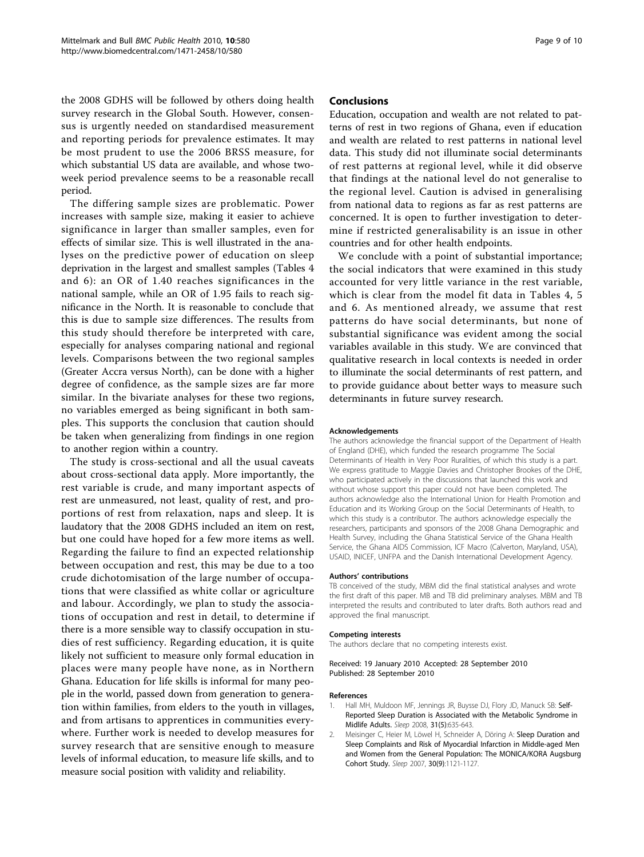<span id="page-8-0"></span>the 2008 GDHS will be followed by others doing health survey research in the Global South. However, consensus is urgently needed on standardised measurement and reporting periods for prevalence estimates. It may be most prudent to use the 2006 BRSS measure, for which substantial US data are available, and whose twoweek period prevalence seems to be a reasonable recall period.

The differing sample sizes are problematic. Power increases with sample size, making it easier to achieve significance in larger than smaller samples, even for effects of similar size. This is well illustrated in the analyses on the predictive power of education on sleep deprivation in the largest and smallest samples (Tables [4](#page-5-0) and [6\)](#page-6-0): an OR of 1.40 reaches significances in the national sample, while an OR of 1.95 fails to reach significance in the North. It is reasonable to conclude that this is due to sample size differences. The results from this study should therefore be interpreted with care, especially for analyses comparing national and regional levels. Comparisons between the two regional samples (Greater Accra versus North), can be done with a higher degree of confidence, as the sample sizes are far more similar. In the bivariate analyses for these two regions, no variables emerged as being significant in both samples. This supports the conclusion that caution should be taken when generalizing from findings in one region to another region within a country.

The study is cross-sectional and all the usual caveats about cross-sectional data apply. More importantly, the rest variable is crude, and many important aspects of rest are unmeasured, not least, quality of rest, and proportions of rest from relaxation, naps and sleep. It is laudatory that the 2008 GDHS included an item on rest, but one could have hoped for a few more items as well. Regarding the failure to find an expected relationship between occupation and rest, this may be due to a too crude dichotomisation of the large number of occupations that were classified as white collar or agriculture and labour. Accordingly, we plan to study the associations of occupation and rest in detail, to determine if there is a more sensible way to classify occupation in studies of rest sufficiency. Regarding education, it is quite likely not sufficient to measure only formal education in places were many people have none, as in Northern Ghana. Education for life skills is informal for many people in the world, passed down from generation to generation within families, from elders to the youth in villages, and from artisans to apprentices in communities everywhere. Further work is needed to develop measures for survey research that are sensitive enough to measure levels of informal education, to measure life skills, and to measure social position with validity and reliability.

#### Conclusions

Education, occupation and wealth are not related to patterns of rest in two regions of Ghana, even if education and wealth are related to rest patterns in national level data. This study did not illuminate social determinants of rest patterns at regional level, while it did observe that findings at the national level do not generalise to the regional level. Caution is advised in generalising from national data to regions as far as rest patterns are concerned. It is open to further investigation to determine if restricted generalisability is an issue in other countries and for other health endpoints.

We conclude with a point of substantial importance; the social indicators that were examined in this study accounted for very little variance in the rest variable, which is clear from the model fit data in Tables [4,](#page-5-0) [5](#page-6-0) and [6.](#page-6-0) As mentioned already, we assume that rest patterns do have social determinants, but none of substantial significance was evident among the social variables available in this study. We are convinced that qualitative research in local contexts is needed in order to illuminate the social determinants of rest pattern, and to provide guidance about better ways to measure such determinants in future survey research.

#### Acknowledgements

The authors acknowledge the financial support of the Department of Health of England (DHE), which funded the research programme The Social Determinants of Health in Very Poor Ruralities, of which this study is a part. We express gratitude to Maggie Davies and Christopher Brookes of the DHE, who participated actively in the discussions that launched this work and without whose support this paper could not have been completed. The authors acknowledge also the International Union for Health Promotion and Education and its Working Group on the Social Determinants of Health, to which this study is a contributor. The authors acknowledge especially the researchers, participants and sponsors of the 2008 Ghana Demographic and Health Survey, including the Ghana Statistical Service of the Ghana Health Service, the Ghana AIDS Commission, ICF Macro (Calverton, Maryland, USA), USAID, INICEF, UNFPA and the Danish International Development Agency.

#### Authors' contributions

TB conceived of the study, MBM did the final statistical analyses and wrote the first draft of this paper. MB and TB did preliminary analyses. MBM and TB interpreted the results and contributed to later drafts. Both authors read and approved the final manuscript.

#### Competing interests

The authors declare that no competing interests exist.

Received: 19 January 2010 Accepted: 28 September 2010 Published: 28 September 2010

#### References

- 1. Hall MH, Muldoon MF, Jennings JR, Buysse DJ, Flory JD, Manuck SB: [Self-](http://www.ncbi.nlm.nih.gov/pubmed/18517034?dopt=Abstract)[Reported Sleep Duration is Associated with the Metabolic Syndrome in](http://www.ncbi.nlm.nih.gov/pubmed/18517034?dopt=Abstract) [Midlife Adults.](http://www.ncbi.nlm.nih.gov/pubmed/18517034?dopt=Abstract) Sleep 2008, 31(5):635-643.
- 2. Meisinger C, Heier M, Löwel H, Schneider A, Döring A: [Sleep Duration and](http://www.ncbi.nlm.nih.gov/pubmed/17910384?dopt=Abstract) [Sleep Complaints and Risk of Myocardial Infarction in Middle-aged Men](http://www.ncbi.nlm.nih.gov/pubmed/17910384?dopt=Abstract) [and Women from the General Population: The MONICA/KORA Augsburg](http://www.ncbi.nlm.nih.gov/pubmed/17910384?dopt=Abstract) [Cohort Study.](http://www.ncbi.nlm.nih.gov/pubmed/17910384?dopt=Abstract) Sleep 2007, 30(9):1121-1127.